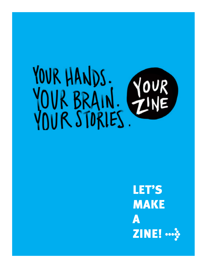# YOUR HANDS.<br>YOUR BRAIN.<br>YOUR STORIES. YOUR

LET'S MAKE A  $ZINE! \rightarrow\cdot\cdot\cdot$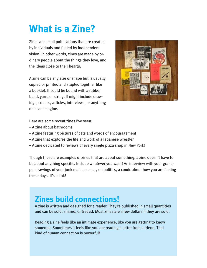# **What is a Zine?**

Zines are small publications that are created by individuals and fueled by independent vision! In other words, zines are made by ordinary people about the things they love, and the ideas close to their hearts.

A zine can be any size or shape but is usually copied or printed and stapled together like a booklet. It could be bound with a rubber band, yarn, or string. It might include drawings, comics, articles, interviews, or anything one can imagine.



Here are some recent zines I've seen:

- A zine about bathrooms
- A zine featuring pictures of cats and words of encouragement
- A zine that explores the life and work of a Japanese wrestler
- A zine dedicated to reviews of every single pizza shop in New York!

Though these are examples of zines that are about something, a zine doesn't have to be about anything specific. Include whatever you want! An interview with your grandpa, drawings of your junk mail, an essay on politics, a comic about how you are feeling these days. It's all ok!

## **Zines build connections!**

A zine is written and designed for a reader. They're published in small quantities and can be sold, shared, or traded. Most zines are a few dollars if they are sold.

Reading a zine feels like an intimate experience, like you are getting to know someone. Sometimes it feels like you are reading a letter from a friend. That kind of human connection is powerful!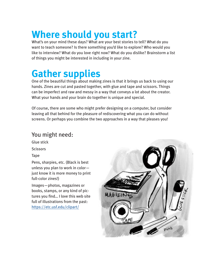# **Where should you start?**

What's on your mind these days? What are your best stories to tell? What do you want to teach someone? Is there something you'd like to explore? Who would you like to interview? What do you love right now? What do you dislike? Brainstorm a list of things you might be interested in including in your zine.

## **Gather supplies**

One of the beautiful things about making zines is that it brings us back to using our hands. Zines are cut and pasted together, with glue and tape and scissors. Things can be imperfect and raw and messy in a way that conveys a lot about the creator. What your hands and your brain do together is unique and special.

Of course, there are some who might prefer designing on a computer, but consider leaving all that behind for the pleasure of rediscovering what you can do without screens. Or perhaps you combine the two approaches in a way that pleases you!

## You might need:

Glue stick **Scissors** Tape

Pens, sharpies, etc. (Black is best unless you plan to work in color just know it is more money to print full-color zines!)

Images—photos, magazines or books, stamps, or any kind of pictures you find… I love this web site full of illustrations from the past: <https://etc.usf.edu/clipart/>

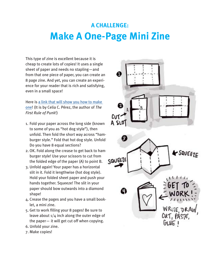## **A CHALLENGE: Make A One-Page Mini Zine**

This type of zine is excellent because it is cheap to create lots of copies! It uses a single sheet of paper and needs no stapling—and from that one piece of paper, you can create an 8 page zine. And yet, you can create an experience for your reader that is rich and satisfying, even in a small space!

Here is [a link that will show you how to make](https://www.readbrightly.com/how-to-make-zine/)  [one!](https://www.readbrightly.com/how-to-make-zine/) (It is by Celia C. Pérez, the author of *The First Rule of Punk*!)

- 1. Fold your paper across the long side (known to some of you as "hot dog style"), then unfold. Then fold the short way across "hamburger style." Fold that hot dog style. Unfold! Do you have 8 equal sections?
- 2. OK. Fold along the crease to get back to hamburger style! Use your scissors to cut from the folded edge of the paper (A) to point B.
- 3. Unfold again! Your paper has a horizontal slit in it. Fold it lengthwise (hot dog style). Hold your folded sheet paper and push your hands together. Squeeze! The slit in your paper should bow outwards into a diamond shape!
- 4. Crease the pages and you have a small booklet, a mini zine.
- 5. Get to work filling your 8 pages! Be sure to leave about  $1/4$  inch along the outer edge of the paper— it will get cut off when copying.
- 6. Unfold your zine.
- 7. Make copies!

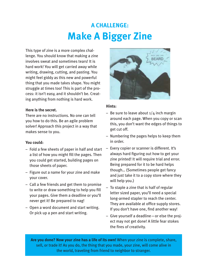## **A CHALLENGE: Make A Bigger Zine**

This type of zine is a more complex challenge. You should know that making a zine involves sweat and sometimes tears! It is hard work! You will get carried away while writing, drawing, cutting, and pasting. You might feel giddy as this new and powerful thing that you made takes shape. You might struggle at times too! This is part of the process: it isn't easy, and it shouldn't be. Creating anything from nothing is hard work.

#### **Here is the secret.**

There are no instructions. No one can tell you how to do this. Be an agile problem solver! Approach this project in a way that makes sense to you.

### **You could:**

- Fold a few sheets of paper in half and start a list of how you might fill the pages. Then you could get started, building pages on those sheets of paper.
- Figure out a name for your zine and make your cover.
- Call a few friends and get them to promise to write or draw something to help you fill your pages. Give them a deadline or you'll never get it! Be prepared to nag!
- Open a word document and start writing. Or pick up a pen and start writing.



#### **Hints:**

- Be sure to leave about  $1/4$  inch margin around each page. When you copy or scan this, you don't want the edges of things to get cut off.
- Numbering the pages helps to keep them in order.
- Every copier or scanner is different. It's always hard figuring out how to get your zine printed! It will require trial and error. Being prepared for it to be hard helps though… (Sometimes people get fancy and just take it to a copy store where they will help you.)
- To staple a zine that is half of regular letter sized paper, you'll need a special long-armed stapler to reach the center. They are available at office supply stores. If you don't have one, find another way!
- Give yourself a deadline—or else the project may not get done! A little fear stokes the fires of creativity.

**Are you done? Now your zine has a life of its own!** When your zine is complete, share, sell, or trade it! As you do, the thing that you made, your zine, will come alive in the world, traveling from friend to neighbor to stranger.